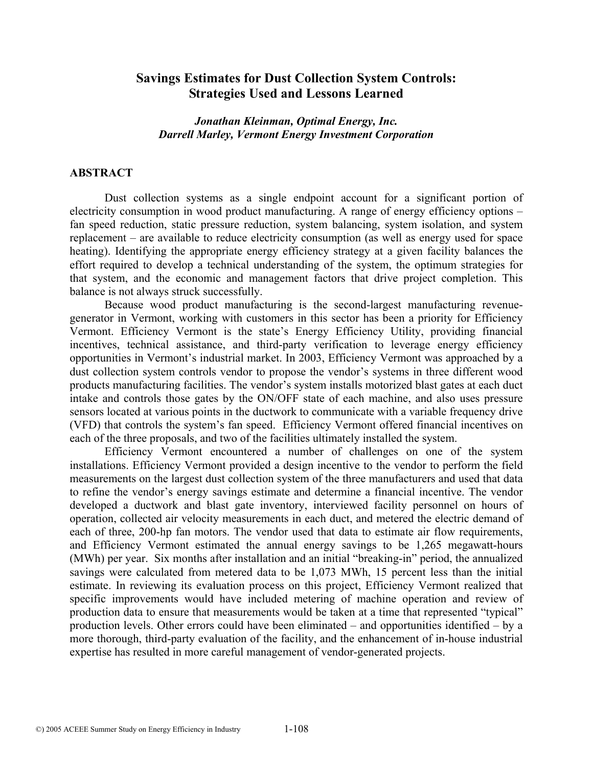# **Savings Estimates for Dust Collection System Controls: Strategies Used and Lessons Learned**

### *Jonathan Kleinman, Optimal Energy, Inc. Darrell Marley, Vermont Energy Investment Corporation*

#### **ABSTRACT**

Dust collection systems as a single endpoint account for a significant portion of electricity consumption in wood product manufacturing. A range of energy efficiency options – fan speed reduction, static pressure reduction, system balancing, system isolation, and system replacement – are available to reduce electricity consumption (as well as energy used for space heating). Identifying the appropriate energy efficiency strategy at a given facility balances the effort required to develop a technical understanding of the system, the optimum strategies for that system, and the economic and management factors that drive project completion. This balance is not always struck successfully.

Because wood product manufacturing is the second-largest manufacturing revenuegenerator in Vermont, working with customers in this sector has been a priority for Efficiency Vermont. Efficiency Vermont is the state's Energy Efficiency Utility, providing financial incentives, technical assistance, and third-party verification to leverage energy efficiency opportunities in Vermont's industrial market. In 2003, Efficiency Vermont was approached by a dust collection system controls vendor to propose the vendor's systems in three different wood products manufacturing facilities. The vendor's system installs motorized blast gates at each duct intake and controls those gates by the ON/OFF state of each machine, and also uses pressure sensors located at various points in the ductwork to communicate with a variable frequency drive (VFD) that controls the system's fan speed. Efficiency Vermont offered financial incentives on each of the three proposals, and two of the facilities ultimately installed the system.

Efficiency Vermont encountered a number of challenges on one of the system installations. Efficiency Vermont provided a design incentive to the vendor to perform the field measurements on the largest dust collection system of the three manufacturers and used that data to refine the vendor's energy savings estimate and determine a financial incentive. The vendor developed a ductwork and blast gate inventory, interviewed facility personnel on hours of operation, collected air velocity measurements in each duct, and metered the electric demand of each of three, 200-hp fan motors. The vendor used that data to estimate air flow requirements, and Efficiency Vermont estimated the annual energy savings to be 1,265 megawatt-hours (MWh) per year. Six months after installation and an initial "breaking-in" period, the annualized savings were calculated from metered data to be 1,073 MWh, 15 percent less than the initial estimate. In reviewing its evaluation process on this project, Efficiency Vermont realized that specific improvements would have included metering of machine operation and review of production data to ensure that measurements would be taken at a time that represented "typical" production levels. Other errors could have been eliminated – and opportunities identified – by a more thorough, third-party evaluation of the facility, and the enhancement of in-house industrial expertise has resulted in more careful management of vendor-generated projects.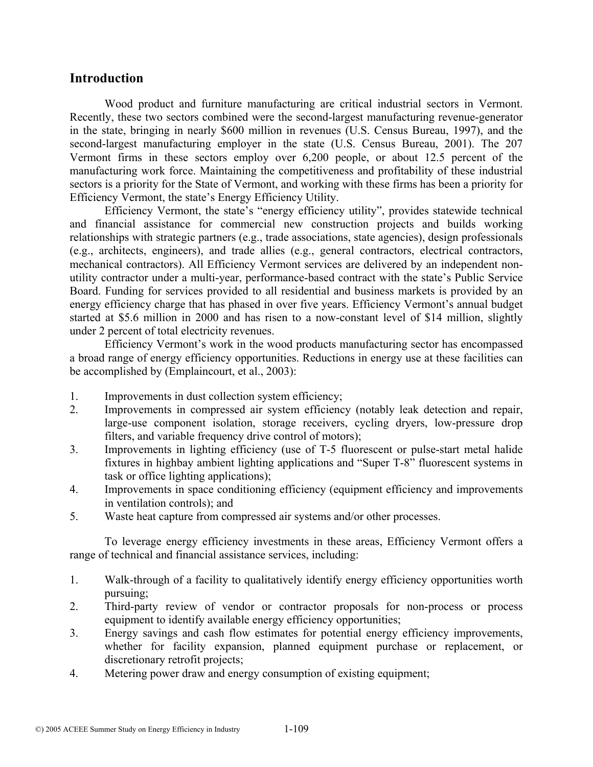# **Introduction**

Wood product and furniture manufacturing are critical industrial sectors in Vermont. Recently, these two sectors combined were the second-largest manufacturing revenue-generator in the state, bringing in nearly \$600 million in revenues (U.S. Census Bureau, 1997), and the second-largest manufacturing employer in the state (U.S. Census Bureau, 2001). The 207 Vermont firms in these sectors employ over 6,200 people, or about 12.5 percent of the manufacturing work force. Maintaining the competitiveness and profitability of these industrial sectors is a priority for the State of Vermont, and working with these firms has been a priority for Efficiency Vermont, the state's Energy Efficiency Utility.

Efficiency Vermont, the state's "energy efficiency utility", provides statewide technical and financial assistance for commercial new construction projects and builds working relationships with strategic partners (e.g., trade associations, state agencies), design professionals (e.g., architects, engineers), and trade allies (e.g., general contractors, electrical contractors, mechanical contractors). All Efficiency Vermont services are delivered by an independent nonutility contractor under a multi-year, performance-based contract with the state's Public Service Board. Funding for services provided to all residential and business markets is provided by an energy efficiency charge that has phased in over five years. Efficiency Vermont's annual budget started at \$5.6 million in 2000 and has risen to a now-constant level of \$14 million, slightly under 2 percent of total electricity revenues.

Efficiency Vermont's work in the wood products manufacturing sector has encompassed a broad range of energy efficiency opportunities. Reductions in energy use at these facilities can be accomplished by (Emplaincourt, et al., 2003):

- 1. Improvements in dust collection system efficiency;
- 2. Improvements in compressed air system efficiency (notably leak detection and repair, large-use component isolation, storage receivers, cycling dryers, low-pressure drop filters, and variable frequency drive control of motors);
- 3. Improvements in lighting efficiency (use of T-5 fluorescent or pulse-start metal halide fixtures in highbay ambient lighting applications and "Super T-8" fluorescent systems in task or office lighting applications);
- 4. Improvements in space conditioning efficiency (equipment efficiency and improvements in ventilation controls); and
- 5. Waste heat capture from compressed air systems and/or other processes.

To leverage energy efficiency investments in these areas, Efficiency Vermont offers a range of technical and financial assistance services, including:

- 1. Walk-through of a facility to qualitatively identify energy efficiency opportunities worth pursuing;
- 2. Third-party review of vendor or contractor proposals for non-process or process equipment to identify available energy efficiency opportunities;
- 3. Energy savings and cash flow estimates for potential energy efficiency improvements, whether for facility expansion, planned equipment purchase or replacement, or discretionary retrofit projects;
- 4. Metering power draw and energy consumption of existing equipment;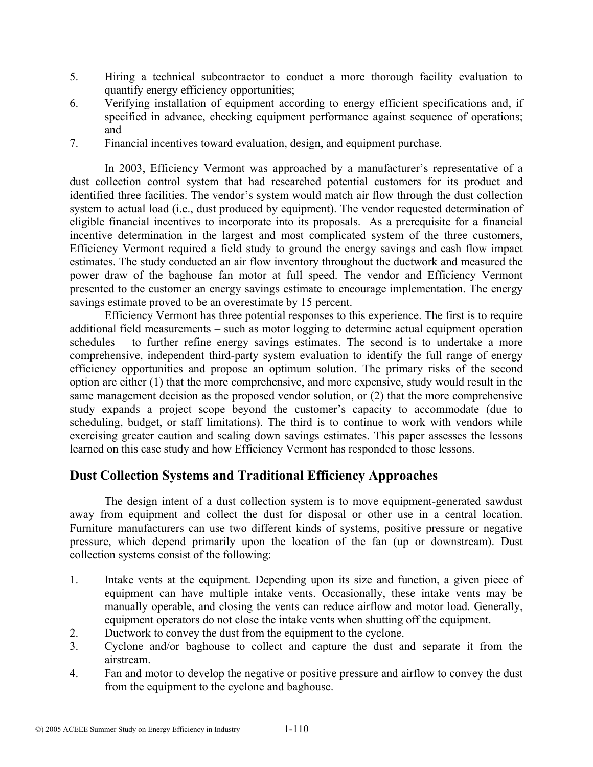- 5. Hiring a technical subcontractor to conduct a more thorough facility evaluation to quantify energy efficiency opportunities;
- 6. Verifying installation of equipment according to energy efficient specifications and, if specified in advance, checking equipment performance against sequence of operations; and
- 7. Financial incentives toward evaluation, design, and equipment purchase.

In 2003, Efficiency Vermont was approached by a manufacturer's representative of a dust collection control system that had researched potential customers for its product and identified three facilities. The vendor's system would match air flow through the dust collection system to actual load (i.e., dust produced by equipment). The vendor requested determination of eligible financial incentives to incorporate into its proposals. As a prerequisite for a financial incentive determination in the largest and most complicated system of the three customers, Efficiency Vermont required a field study to ground the energy savings and cash flow impact estimates. The study conducted an air flow inventory throughout the ductwork and measured the power draw of the baghouse fan motor at full speed. The vendor and Efficiency Vermont presented to the customer an energy savings estimate to encourage implementation. The energy savings estimate proved to be an overestimate by 15 percent.

Efficiency Vermont has three potential responses to this experience. The first is to require additional field measurements – such as motor logging to determine actual equipment operation schedules – to further refine energy savings estimates. The second is to undertake a more comprehensive, independent third-party system evaluation to identify the full range of energy efficiency opportunities and propose an optimum solution. The primary risks of the second option are either (1) that the more comprehensive, and more expensive, study would result in the same management decision as the proposed vendor solution, or (2) that the more comprehensive study expands a project scope beyond the customer's capacity to accommodate (due to scheduling, budget, or staff limitations). The third is to continue to work with vendors while exercising greater caution and scaling down savings estimates. This paper assesses the lessons learned on this case study and how Efficiency Vermont has responded to those lessons.

# **Dust Collection Systems and Traditional Efficiency Approaches**

The design intent of a dust collection system is to move equipment-generated sawdust away from equipment and collect the dust for disposal or other use in a central location. Furniture manufacturers can use two different kinds of systems, positive pressure or negative pressure, which depend primarily upon the location of the fan (up or downstream). Dust collection systems consist of the following:

- 1. Intake vents at the equipment. Depending upon its size and function, a given piece of equipment can have multiple intake vents. Occasionally, these intake vents may be manually operable, and closing the vents can reduce airflow and motor load. Generally, equipment operators do not close the intake vents when shutting off the equipment.
- 2. Ductwork to convey the dust from the equipment to the cyclone.
- 3. Cyclone and/or baghouse to collect and capture the dust and separate it from the airstream.
- 4. Fan and motor to develop the negative or positive pressure and airflow to convey the dust from the equipment to the cyclone and baghouse.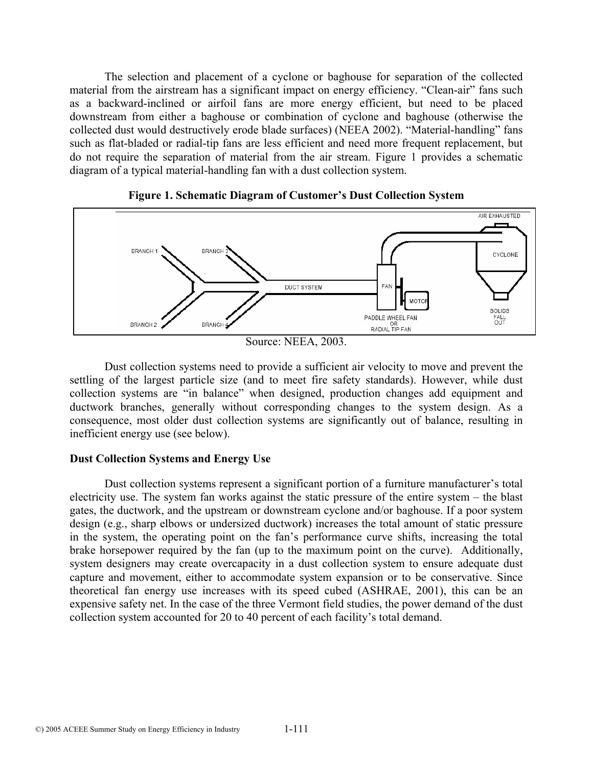The selection and placement of a cyclone or baghouse for separation of the collected material from the airstream has a significant impact on energy efficiency. "Clean-air" fans such as a backward-inclined or airfoil fans are more energy efficient, but need to be placed downstream from either a baghouse or combination of cyclone and baghouse (otherwise the collected dust would destructively erode blade surfaces) (NEEA 2002). "Material-handling" fans such as flat-bladed or radial-tip fans are less efficient and need more frequent replacement, but do not require the separation of material from the air stream. Figure 1 provides a schematic diagram of a typical material-handling fan with a dust collection system.



**Figure 1. Schematic Diagram of Customer's Dust Collection System** 

Dust collection systems need to provide a sufficient air velocity to move and prevent the settling of the largest particle size (and to meet fire safety standards). However, while dust collection systems are "in balance" when designed, production changes add equipment and ductwork branches, generally without corresponding changes to the system design. As a consequence, most older dust collection systems are significantly out of balance, resulting in inefficient energy use (see below).

#### **Dust Collection Systems and Energy Use**

Dust collection systems represent a significant portion of a furniture manufacturer's total electricity use. The system fan works against the static pressure of the entire system – the blast gates, the ductwork, and the upstream or downstream cyclone and/or baghouse. If a poor system design (e.g., sharp elbows or undersized ductwork) increases the total amount of static pressure in the system, the operating point on the fan's performance curve shifts, increasing the total brake horsepower required by the fan (up to the maximum point on the curve). Additionally, system designers may create overcapacity in a dust collection system to ensure adequate dust capture and movement, either to accommodate system expansion or to be conservative. Since theoretical fan energy use increases with its speed cubed (ASHRAE, 2001), this can be an expensive safety net. In the case of the three Vermont field studies, the power demand of the dust collection system accounted for 20 to 40 percent of each facility's total demand.

Source: NEEA, 2003.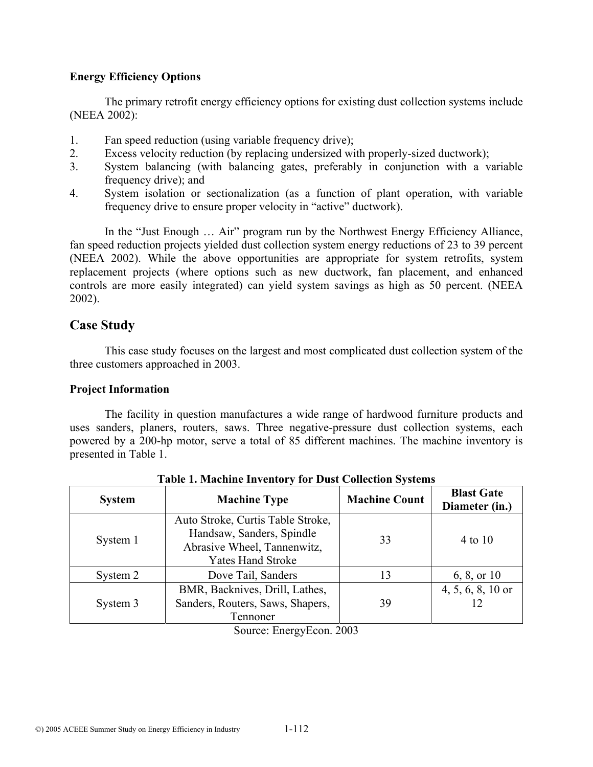### **Energy Efficiency Options**

The primary retrofit energy efficiency options for existing dust collection systems include (NEEA 2002):

- 1. Fan speed reduction (using variable frequency drive);
- 2. Excess velocity reduction (by replacing undersized with properly-sized ductwork);
- 3. System balancing (with balancing gates, preferably in conjunction with a variable frequency drive); and
- 4. System isolation or sectionalization (as a function of plant operation, with variable frequency drive to ensure proper velocity in "active" ductwork).

In the "Just Enough … Air" program run by the Northwest Energy Efficiency Alliance, fan speed reduction projects yielded dust collection system energy reductions of 23 to 39 percent (NEEA 2002). While the above opportunities are appropriate for system retrofits, system replacement projects (where options such as new ductwork, fan placement, and enhanced controls are more easily integrated) can yield system savings as high as 50 percent. (NEEA 2002).

# **Case Study**

This case study focuses on the largest and most complicated dust collection system of the three customers approached in 2003.

### **Project Information**

The facility in question manufactures a wide range of hardwood furniture products and uses sanders, planers, routers, saws. Three negative-pressure dust collection systems, each powered by a 200-hp motor, serve a total of 85 different machines. The machine inventory is presented in Table 1.

| <b>System</b> | <b>Machine Type</b>                                                                                                       | <b>Machine Count</b> | <b>Blast Gate</b><br>Diameter (in.) |
|---------------|---------------------------------------------------------------------------------------------------------------------------|----------------------|-------------------------------------|
| System 1      | Auto Stroke, Curtis Table Stroke,<br>Handsaw, Sanders, Spindle<br>Abrasive Wheel, Tannenwitz,<br><b>Yates Hand Stroke</b> | 33                   | 4 to 10                             |
| System 2      | Dove Tail, Sanders                                                                                                        | 13                   | 6, 8, or $10$                       |
| System 3      | BMR, Backnives, Drill, Lathes,<br>Sanders, Routers, Saws, Shapers,<br>Tennoner                                            | 39                   | $4, 5, 6, 8, 10$ or                 |

**Table 1. Machine Inventory for Dust Collection Systems** 

Source: EnergyEcon. 2003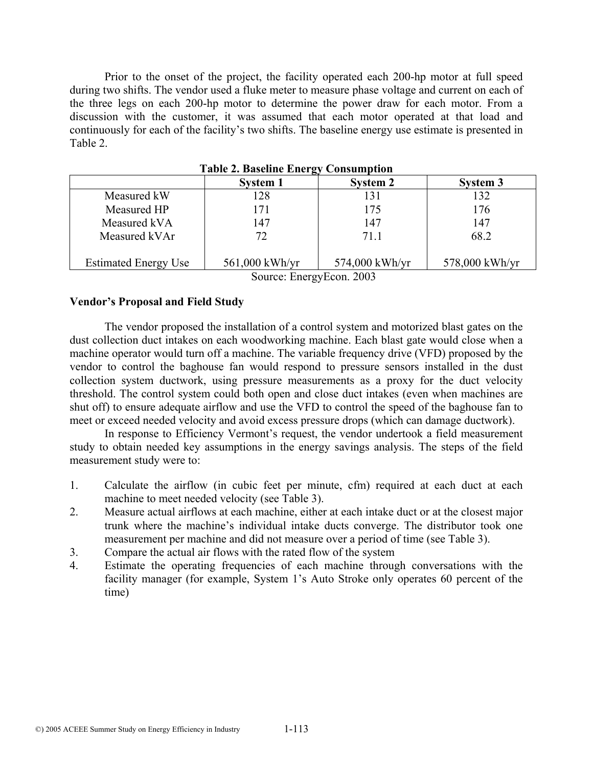Prior to the onset of the project, the facility operated each 200-hp motor at full speed during two shifts. The vendor used a fluke meter to measure phase voltage and current on each of the three legs on each 200-hp motor to determine the power draw for each motor. From a discussion with the customer, it was assumed that each motor operated at that load and continuously for each of the facility's two shifts. The baseline energy use estimate is presented in Table 2.

|                             | <b>System 1</b>  | <b>System 2</b> | System 3       |
|-----------------------------|------------------|-----------------|----------------|
| Measured kW                 | 128              | 131             | 132            |
| Measured HP                 | 171              | 175             | 176            |
| Measured kVA                | 147              | 147             | 147            |
| Measured kVAr               | 72               | 711             | 68.2           |
| <b>Estimated Energy Use</b> | $561,000$ kWh/yr | 574,000 kWh/yr  | 578,000 kWh/yr |

**Table 2. Baseline Energy Consumption** 

Source: EnergyEcon. 2003

### **Vendor's Proposal and Field Study**

The vendor proposed the installation of a control system and motorized blast gates on the dust collection duct intakes on each woodworking machine. Each blast gate would close when a machine operator would turn off a machine. The variable frequency drive (VFD) proposed by the vendor to control the baghouse fan would respond to pressure sensors installed in the dust collection system ductwork, using pressure measurements as a proxy for the duct velocity threshold. The control system could both open and close duct intakes (even when machines are shut off) to ensure adequate airflow and use the VFD to control the speed of the baghouse fan to meet or exceed needed velocity and avoid excess pressure drops (which can damage ductwork).

In response to Efficiency Vermont's request, the vendor undertook a field measurement study to obtain needed key assumptions in the energy savings analysis. The steps of the field measurement study were to:

- 1. Calculate the airflow (in cubic feet per minute, cfm) required at each duct at each machine to meet needed velocity (see Table 3).
- 2. Measure actual airflows at each machine, either at each intake duct or at the closest major trunk where the machine's individual intake ducts converge. The distributor took one measurement per machine and did not measure over a period of time (see Table 3).
- 3. Compare the actual air flows with the rated flow of the system
- 4. Estimate the operating frequencies of each machine through conversations with the facility manager (for example, System 1's Auto Stroke only operates 60 percent of the time)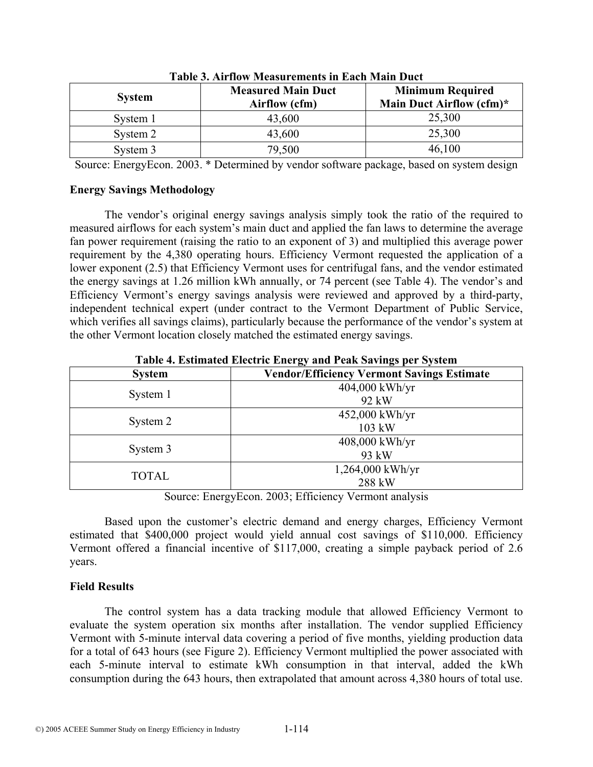| таріс оттінгіон тісаэагенісіне ін шасп тіані расс |                                            |                                                     |  |
|---------------------------------------------------|--------------------------------------------|-----------------------------------------------------|--|
| <b>System</b>                                     | <b>Measured Main Duct</b><br>Airflow (cfm) | <b>Minimum Required</b><br>Main Duct Airflow (cfm)* |  |
| System 1                                          | 43,600                                     | 25,300                                              |  |
| System 2                                          | 43,600                                     | 25,300                                              |  |
| System 3                                          | 79,500                                     | 46,100                                              |  |

**Table 3. Airflow Measurements in Each Main Duct** 

Source: EnergyEcon. 2003. \* Determined by vendor software package, based on system design

### **Energy Savings Methodology**

The vendor's original energy savings analysis simply took the ratio of the required to measured airflows for each system's main duct and applied the fan laws to determine the average fan power requirement (raising the ratio to an exponent of 3) and multiplied this average power requirement by the 4,380 operating hours. Efficiency Vermont requested the application of a lower exponent (2.5) that Efficiency Vermont uses for centrifugal fans, and the vendor estimated the energy savings at 1.26 million kWh annually, or 74 percent (see Table 4). The vendor's and Efficiency Vermont's energy savings analysis were reviewed and approved by a third-party, independent technical expert (under contract to the Vermont Department of Public Service, which verifies all savings claims), particularly because the performance of the vendor's system at the other Vermont location closely matched the estimated energy savings.

| Table 4. Estimated Electric Eliergy and Feak Savings per System |                                                   |  |
|-----------------------------------------------------------------|---------------------------------------------------|--|
| <b>System</b>                                                   | <b>Vendor/Efficiency Vermont Savings Estimate</b> |  |
|                                                                 | $404,000$ kWh/yr                                  |  |
| System 1                                                        | 92 kW                                             |  |
|                                                                 | 452,000 kWh/yr                                    |  |
| System 2                                                        | 103 kW                                            |  |
|                                                                 | $408,000$ kWh/yr                                  |  |
| System 3                                                        | 93 kW                                             |  |
| <b>TOTAL</b>                                                    | $1,264,000$ kWh/yr                                |  |
|                                                                 | 288 kW                                            |  |

**Table 4. Estimated Electric Energy and Peak Savings per System** 

Source: EnergyEcon. 2003; Efficiency Vermont analysis

Based upon the customer's electric demand and energy charges, Efficiency Vermont estimated that \$400,000 project would yield annual cost savings of \$110,000. Efficiency Vermont offered a financial incentive of \$117,000, creating a simple payback period of 2.6 years.

## **Field Results**

The control system has a data tracking module that allowed Efficiency Vermont to evaluate the system operation six months after installation. The vendor supplied Efficiency Vermont with 5-minute interval data covering a period of five months, yielding production data for a total of 643 hours (see Figure 2). Efficiency Vermont multiplied the power associated with each 5-minute interval to estimate kWh consumption in that interval, added the kWh consumption during the 643 hours, then extrapolated that amount across 4,380 hours of total use.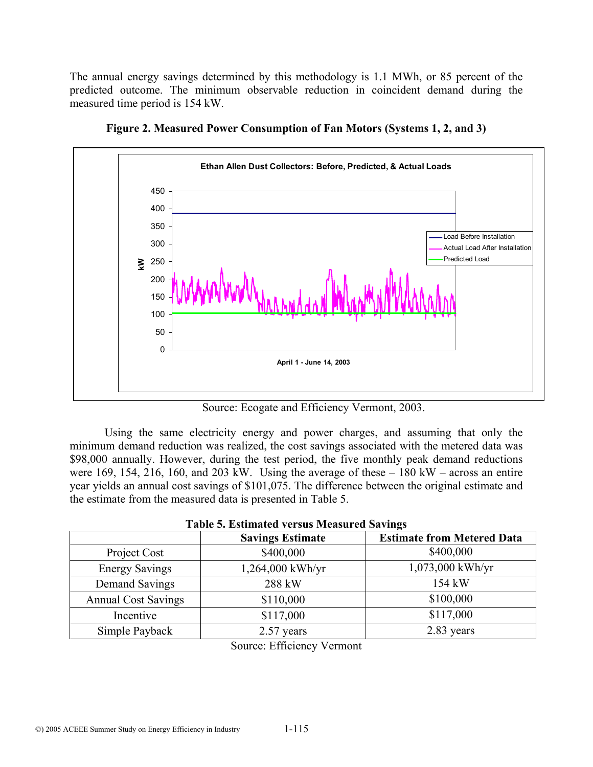The annual energy savings determined by this methodology is 1.1 MWh, or 85 percent of the predicted outcome. The minimum observable reduction in coincident demand during the measured time period is 154 kW.



**Figure 2. Measured Power Consumption of Fan Motors (Systems 1, 2, and 3)** 

Source: Ecogate and Efficiency Vermont, 2003.

Using the same electricity energy and power charges, and assuming that only the minimum demand reduction was realized, the cost savings associated with the metered data was \$98,000 annually. However, during the test period, the five monthly peak demand reductions were 169, 154, 216, 160, and 203 kW. Using the average of these  $-180$  kW – across an entire year yields an annual cost savings of \$101,075. The difference between the original estimate and the estimate from the measured data is presented in Table 5.

|                            | <b>Savings Estimate</b> | <b>Estimate from Metered Data</b> |
|----------------------------|-------------------------|-----------------------------------|
| Project Cost               | \$400,000               | \$400,000                         |
| <b>Energy Savings</b>      | 1,264,000 kWh/yr        | $1,073,000$ kWh/yr                |
| Demand Savings             | 288 kW                  | 154 kW                            |
| <b>Annual Cost Savings</b> | \$110,000               | \$100,000                         |
| Incentive                  | \$117,000               | \$117,000                         |
| Simple Payback             | 2.57 years              | 2.83 years                        |

# **Table 5. Estimated versus Measured Savings**

Source: Efficiency Vermont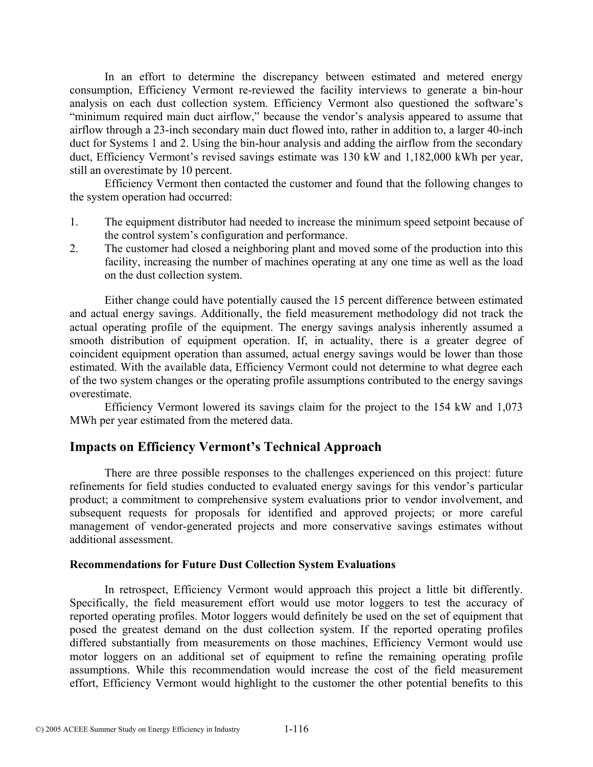In an effort to determine the discrepancy between estimated and metered energy consumption, Efficiency Vermont re-reviewed the facility interviews to generate a bin-hour analysis on each dust collection system. Efficiency Vermont also questioned the software's "minimum required main duct airflow," because the vendor's analysis appeared to assume that airflow through a 23-inch secondary main duct flowed into, rather in addition to, a larger 40-inch duct for Systems 1 and 2. Using the bin-hour analysis and adding the airflow from the secondary duct, Efficiency Vermont's revised savings estimate was 130 kW and 1,182,000 kWh per year, still an overestimate by 10 percent.

Efficiency Vermont then contacted the customer and found that the following changes to the system operation had occurred:

- 1. The equipment distributor had needed to increase the minimum speed setpoint because of the control system's configuration and performance.
- 2. The customer had closed a neighboring plant and moved some of the production into this facility, increasing the number of machines operating at any one time as well as the load on the dust collection system.

Either change could have potentially caused the 15 percent difference between estimated and actual energy savings. Additionally, the field measurement methodology did not track the actual operating profile of the equipment. The energy savings analysis inherently assumed a smooth distribution of equipment operation. If, in actuality, there is a greater degree of coincident equipment operation than assumed, actual energy savings would be lower than those estimated. With the available data, Efficiency Vermont could not determine to what degree each of the two system changes or the operating profile assumptions contributed to the energy savings overestimate.

Efficiency Vermont lowered its savings claim for the project to the 154 kW and 1,073 MWh per year estimated from the metered data.

## **Impacts on Efficiency Vermont's Technical Approach**

There are three possible responses to the challenges experienced on this project: future refinements for field studies conducted to evaluated energy savings for this vendor's particular product; a commitment to comprehensive system evaluations prior to vendor involvement, and subsequent requests for proposals for identified and approved projects; or more careful management of vendor-generated projects and more conservative savings estimates without additional assessment.

#### **Recommendations for Future Dust Collection System Evaluations**

In retrospect, Efficiency Vermont would approach this project a little bit differently. Specifically, the field measurement effort would use motor loggers to test the accuracy of reported operating profiles. Motor loggers would definitely be used on the set of equipment that posed the greatest demand on the dust collection system. If the reported operating profiles differed substantially from measurements on those machines, Efficiency Vermont would use motor loggers on an additional set of equipment to refine the remaining operating profile assumptions. While this recommendation would increase the cost of the field measurement effort, Efficiency Vermont would highlight to the customer the other potential benefits to this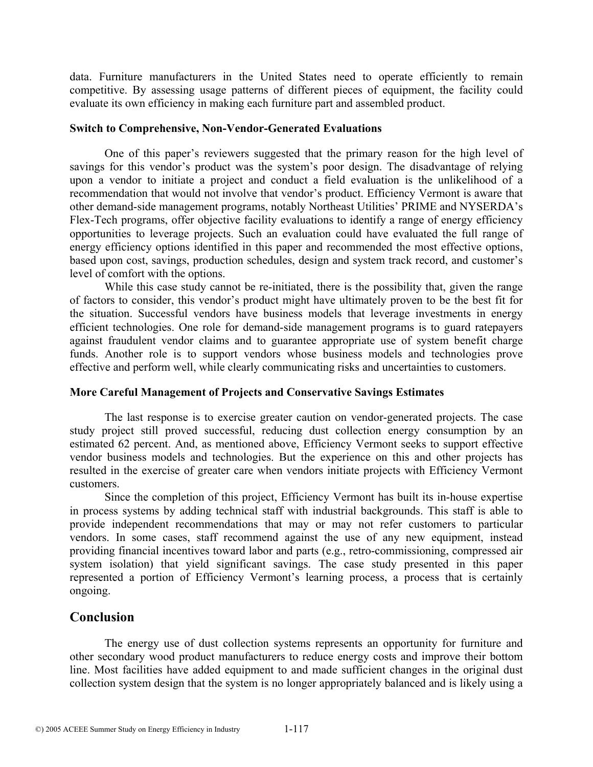data. Furniture manufacturers in the United States need to operate efficiently to remain competitive. By assessing usage patterns of different pieces of equipment, the facility could evaluate its own efficiency in making each furniture part and assembled product.

#### **Switch to Comprehensive, Non-Vendor-Generated Evaluations**

One of this paper's reviewers suggested that the primary reason for the high level of savings for this vendor's product was the system's poor design. The disadvantage of relying upon a vendor to initiate a project and conduct a field evaluation is the unlikelihood of a recommendation that would not involve that vendor's product. Efficiency Vermont is aware that other demand-side management programs, notably Northeast Utilities' PRIME and NYSERDA's Flex-Tech programs, offer objective facility evaluations to identify a range of energy efficiency opportunities to leverage projects. Such an evaluation could have evaluated the full range of energy efficiency options identified in this paper and recommended the most effective options, based upon cost, savings, production schedules, design and system track record, and customer's level of comfort with the options.

While this case study cannot be re-initiated, there is the possibility that, given the range of factors to consider, this vendor's product might have ultimately proven to be the best fit for the situation. Successful vendors have business models that leverage investments in energy efficient technologies. One role for demand-side management programs is to guard ratepayers against fraudulent vendor claims and to guarantee appropriate use of system benefit charge funds. Another role is to support vendors whose business models and technologies prove effective and perform well, while clearly communicating risks and uncertainties to customers.

### **More Careful Management of Projects and Conservative Savings Estimates**

The last response is to exercise greater caution on vendor-generated projects. The case study project still proved successful, reducing dust collection energy consumption by an estimated 62 percent. And, as mentioned above, Efficiency Vermont seeks to support effective vendor business models and technologies. But the experience on this and other projects has resulted in the exercise of greater care when vendors initiate projects with Efficiency Vermont customers.

Since the completion of this project, Efficiency Vermont has built its in-house expertise in process systems by adding technical staff with industrial backgrounds. This staff is able to provide independent recommendations that may or may not refer customers to particular vendors. In some cases, staff recommend against the use of any new equipment, instead providing financial incentives toward labor and parts (e.g., retro-commissioning, compressed air system isolation) that yield significant savings. The case study presented in this paper represented a portion of Efficiency Vermont's learning process, a process that is certainly ongoing.

# **Conclusion**

The energy use of dust collection systems represents an opportunity for furniture and other secondary wood product manufacturers to reduce energy costs and improve their bottom line. Most facilities have added equipment to and made sufficient changes in the original dust collection system design that the system is no longer appropriately balanced and is likely using a